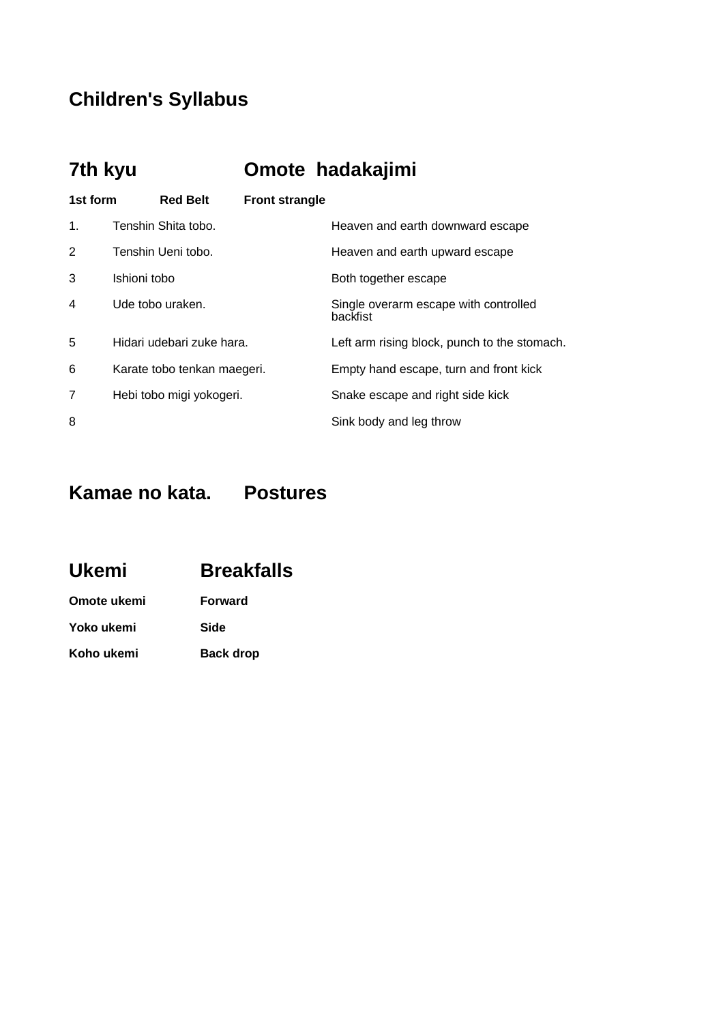### **Children's Syllabus**

## **7th kyu Omote hadakajimi**

| 1st form       |              | <b>Red Belt</b>             | <b>Front strangle</b> |                                                   |
|----------------|--------------|-----------------------------|-----------------------|---------------------------------------------------|
| $\mathbf{1}$ . |              | Tenshin Shita tobo.         |                       | Heaven and earth downward escape                  |
| 2              |              | Tenshin Ueni tobo.          |                       | Heaven and earth upward escape                    |
| 3              | Ishioni tobo |                             |                       | Both together escape                              |
| 4              |              | Ude tobo uraken.            |                       | Single overarm escape with controlled<br>backfist |
| 5              |              | Hidari udebari zuke hara.   |                       | Left arm rising block, punch to the stomach.      |
| 6              |              | Karate tobo tenkan maegeri. |                       | Empty hand escape, turn and front kick            |
| 7              |              | Hebi tobo migi yokogeri.    |                       | Snake escape and right side kick                  |
| 8              |              |                             |                       | Sink body and leg throw                           |

### **Kamae no kata. Postures**

| <b>Ukemi</b> | <b>Breakfalls</b> |
|--------------|-------------------|
| Omote ukemi  | <b>Forward</b>    |
| Yoko ukemi   | Side              |

**Koho ukemi Back drop**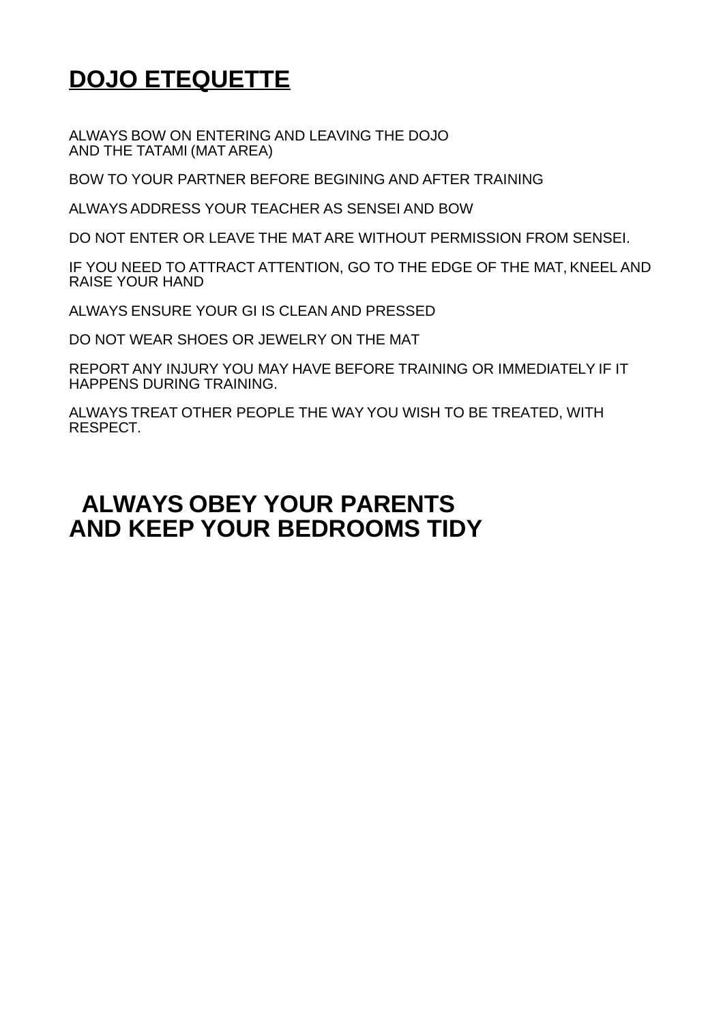# **DOJO ETEQUETTE**

ALWAYS BOW ON ENTERING AND LEAVING THE DOJO AND THE TATAMI (MAT AREA)

BOW TO YOUR PARTNER BEFORE BEGINING AND AFTER TRAINING

ALWAYS ADDRESS YOUR TEACHER AS SENSEI AND BOW

DO NOT ENTER OR LEAVE THE MAT ARE WITHOUT PERMISSION FROM SENSEI.

IF YOU NEED TO ATTRACT ATTENTION, GO TO THE EDGE OF THE MAT, KNEEL AND RAISE YOUR HAND

ALWAYS ENSURE YOUR GI IS CLEAN AND PRESSED

DO NOT WEAR SHOES OR JEWELRY ON THE MAT

REPORT ANY INJURY YOU MAY HAVE BEFORE TRAINING OR IMMEDIATELY IF IT HAPPENS DURING TRAINING.

ALWAYS TREAT OTHER PEOPLE THE WAY YOU WISH TO BE TREATED, WITH RESPECT.

## **ALWAYS OBEY YOUR PARENTS AND KEEP YOUR BEDROOMS TIDY**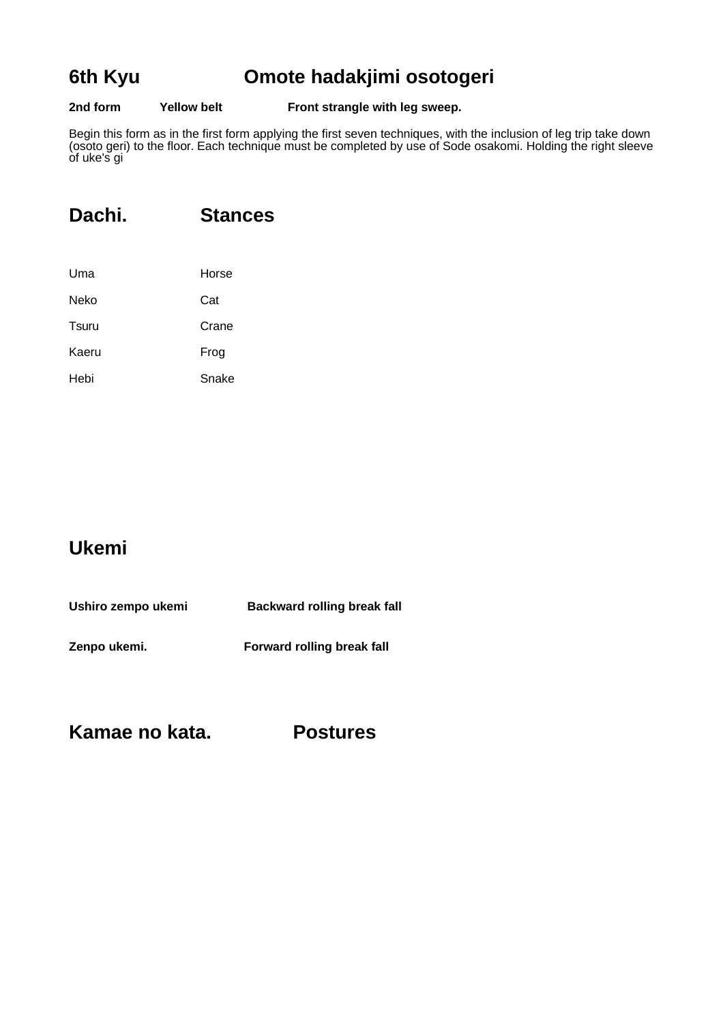### **6th Kyu Omote hadakjimi osotogeri**

### **2nd form Yellow belt Front strangle with leg sweep.**

Begin this form as in the first form applying the first seven techniques, with the inclusion of leg trip take down (osoto geri) to the floor. Each technique must be completed by use of Sode osakomi. Holding the right sleeve of uke's gi

### **Dachi. Stances**

| Uma   | Horse |
|-------|-------|
| Neko  | Cat   |
| Tsuru | Crane |
| Kaeru | Frog  |
| Hebi  | Snake |

### **Ukemi**

| Ushiro zempo ukemi | <b>Backward rolling break fall</b> |
|--------------------|------------------------------------|
| Zenpo ukemi.       | Forward rolling break fall         |

**Kamae no kata. Postures**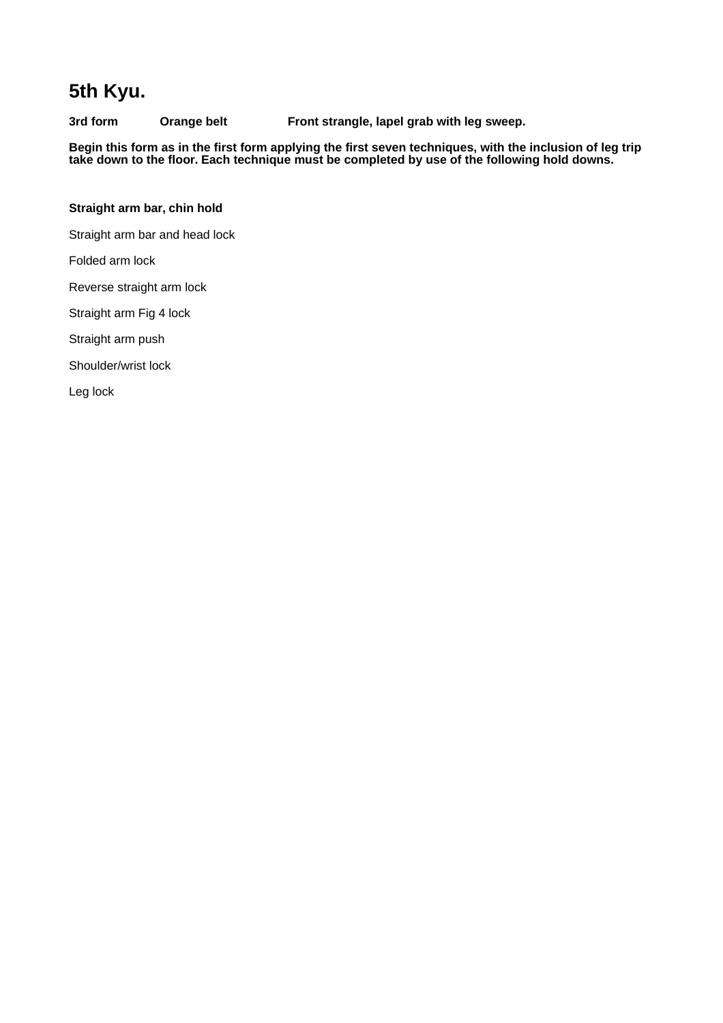### **5th Kyu.**

**3rd form Orange belt Front strangle, lapel grab with leg sweep.**

**Begin this form as in the first form applying the first seven techniques, with the inclusion of leg trip take down to the floor. Each technique must be completed by use of the following hold downs.**

### **Straight arm bar, chin hold**

Straight arm bar and head lock

Folded arm lock

Reverse straight arm lock

Straight arm Fig 4 lock

Straight arm push

Shoulder/wrist lock

Leg lock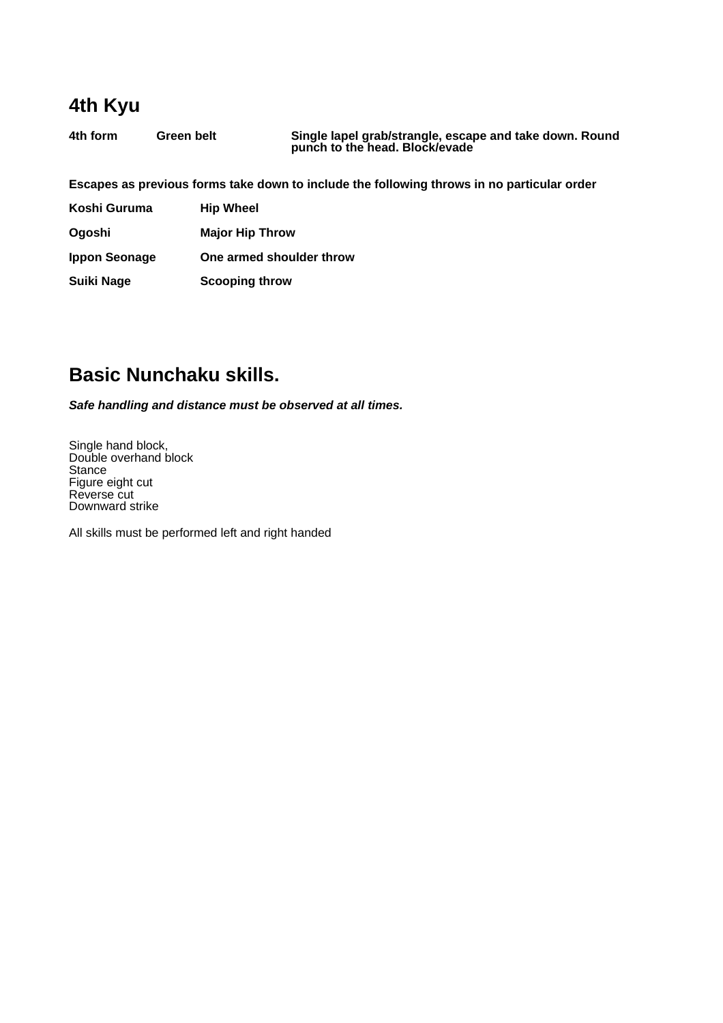### **4th Kyu**

**4th form Green belt Single lapel grab/strangle, escape and take down. Round punch to the head. Block/evade**

**Escapes as previous forms take down to include the following throws in no particular order**

| Koshi Guruma         | <b>Hip Wheel</b>         |
|----------------------|--------------------------|
| Oqoshi               | <b>Major Hip Throw</b>   |
| <b>Ippon Seonage</b> | One armed shoulder throw |
| <b>Suiki Nage</b>    | <b>Scooping throw</b>    |

### **Basic Nunchaku skills.**

**Safe handling and distance must be observed at all times.**

Single hand block, Double overhand block **Stance** Figure eight cut Reverse cut Downward strike

All skills must be performed left and right handed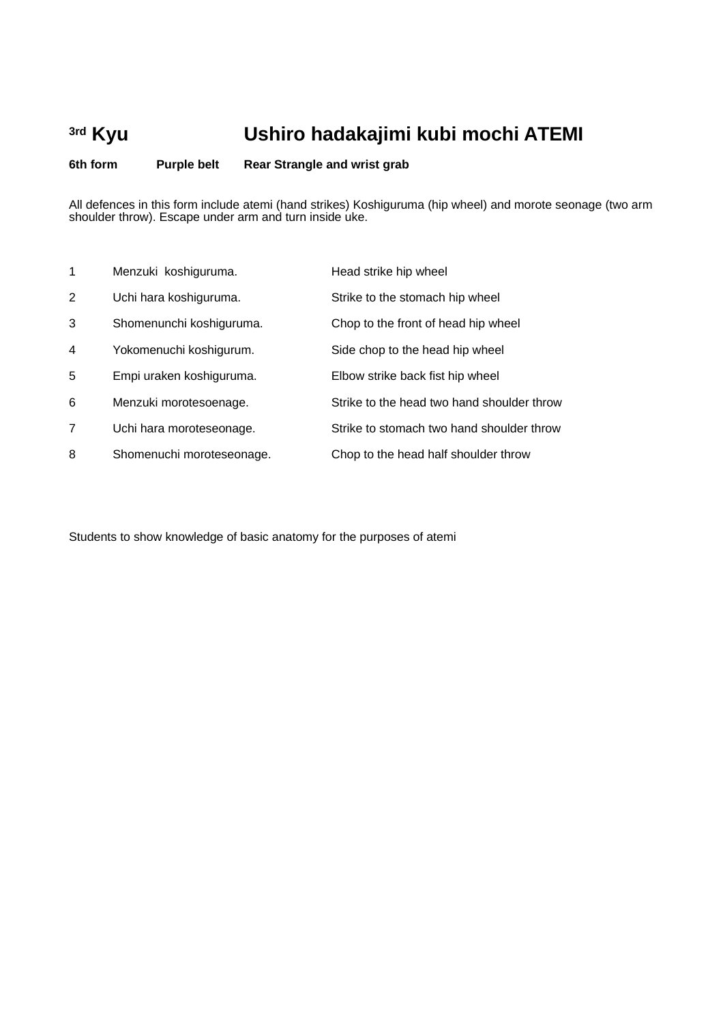# **3rd Kyu Ushiro hadakajimi kubi mochi ATEMI**

**6th form Purple belt Rear Strangle and wrist grab** 

All defences in this form include atemi (hand strikes) Koshiguruma (hip wheel) and morote seonage (two arm shoulder throw). Escape under arm and turn inside uke.

| 1              | Menzuki koshiguruma.      | Head strike hip wheel                      |
|----------------|---------------------------|--------------------------------------------|
| 2              | Uchi hara koshiguruma.    | Strike to the stomach hip wheel            |
| 3              | Shomenunchi koshiguruma.  | Chop to the front of head hip wheel        |
| $\overline{4}$ | Yokomenuchi koshigurum.   | Side chop to the head hip wheel            |
| 5              | Empi uraken koshiguruma.  | Elbow strike back fist hip wheel           |
| 6              | Menzuki morotesoenage.    | Strike to the head two hand shoulder throw |
| 7              | Uchi hara moroteseonage.  | Strike to stomach two hand shoulder throw  |
| 8              | Shomenuchi moroteseonage. | Chop to the head half shoulder throw       |

Students to show knowledge of basic anatomy for the purposes of atemi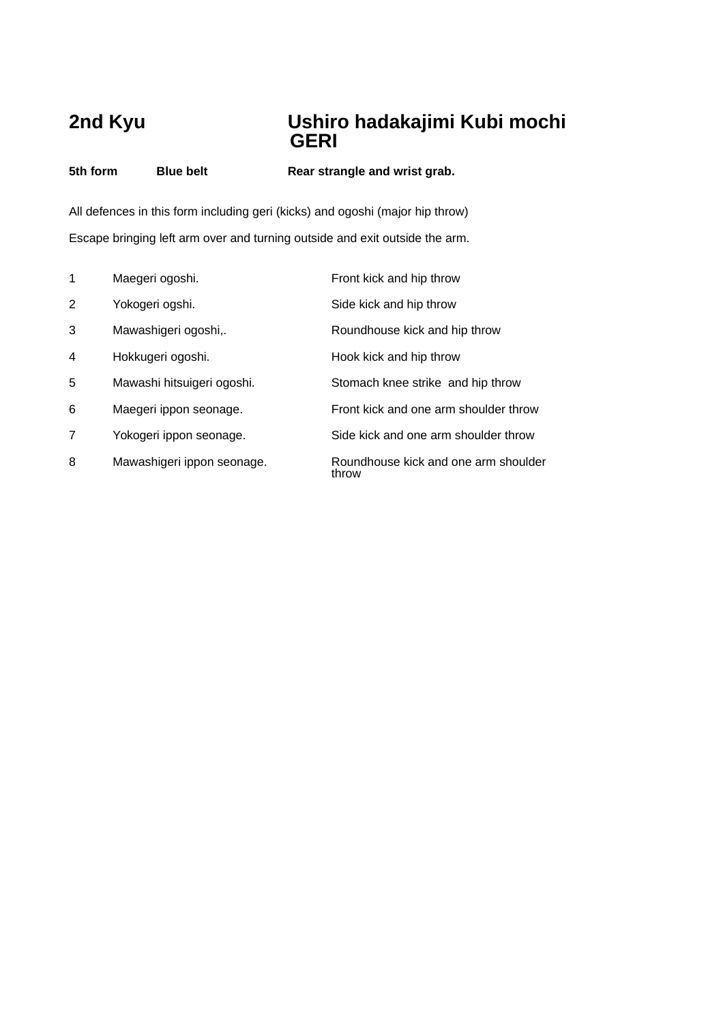### **2nd Kyu Ushiro hadakajimi Kubi mochi**  *GERI*

**5th form Blue belt Rear strangle and wrist grab.**

All defences in this form including geri (kicks) and ogoshi (major hip throw) Escape bringing left arm over and turning outside and exit outside the arm.

| 1 | Maegeri ogoshi.            | Front kick and hip throw                      |
|---|----------------------------|-----------------------------------------------|
| 2 | Yokogeri ogshi.            | Side kick and hip throw                       |
| 3 | Mawashigeri ogoshi,.       | Roundhouse kick and hip throw                 |
| 4 | Hokkugeri ogoshi.          | Hook kick and hip throw                       |
| 5 | Mawashi hitsuigeri ogoshi. | Stomach knee strike and hip throw             |
| 6 | Maegeri ippon seonage.     | Front kick and one arm shoulder throw         |
| 7 | Yokogeri ippon seonage.    | Side kick and one arm shoulder throw          |
| 8 | Mawashigeri ippon seonage. | Roundhouse kick and one arm shoulder<br>throw |